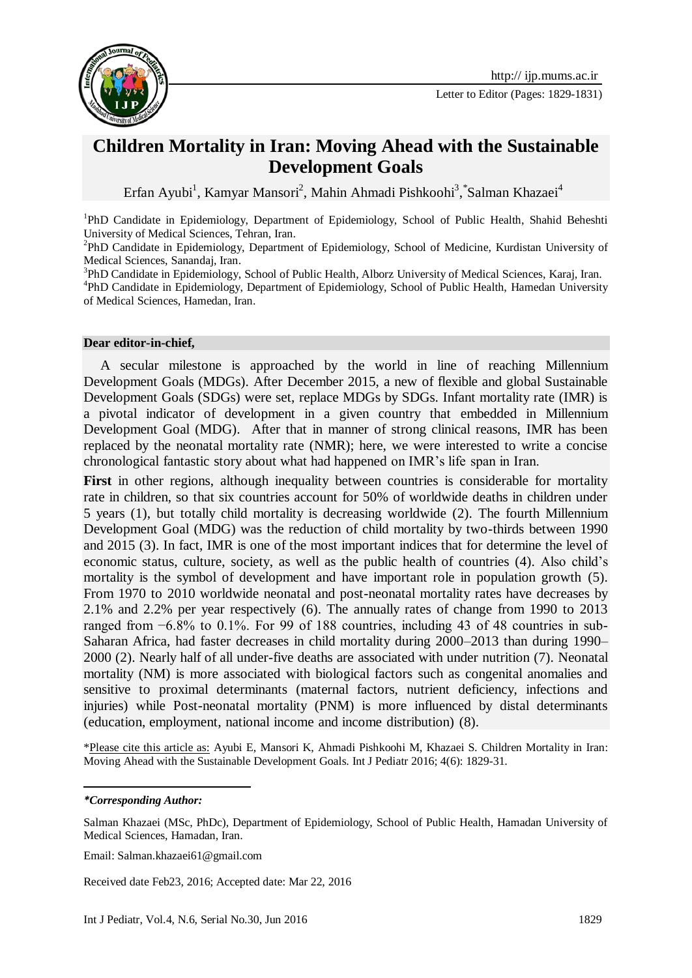

## **Children Mortality in Iran: Moving Ahead with the Sustainable Development Goals**

Erfan Ayubi<sup>1</sup>, Kamyar Mansori<sup>2</sup>, Mahin Ahmadi Pishkoohi<sup>3</sup>, \*Salman Khazaei<sup>4</sup>

<sup>1</sup>PhD Candidate in Epidemiology, Department of Epidemiology, School of Public Health, Shahid Beheshti University of Medical Sciences, Tehran, Iran.

<sup>2</sup>PhD Candidate in Epidemiology, Department of Epidemiology, School of Medicine, Kurdistan University of Medical Sciences, Sanandaj, Iran.

<sup>3</sup>PhD Candidate in Epidemiology, School of Public Health, Alborz University of Medical Sciences, Karaj, Iran. 4 PhD Candidate in Epidemiology, Department of Epidemiology, School of Public Health, Hamedan University of Medical Sciences, Hamedan, Iran.

## **Dear editor-in-chief,**

A secular milestone is approached by the world in line of reaching Millennium Development Goals (MDGs). After December 2015, a new of flexible and global Sustainable Development Goals (SDGs) were set, replace MDGs by SDGs. Infant mortality rate (IMR) is a pivotal indicator of development in a given country that embedded in Millennium Development Goal (MDG). After that in manner of strong clinical reasons, IMR has been replaced by the neonatal mortality rate (NMR); here, we were interested to write a concise chronological fantastic story about what had happened on IMR's life span in Iran.

**First** in other regions, although inequality between countries is considerable for mortality rate in children, so that six countries account for 50% of worldwide deaths in children under 5 years [\(1\)](#page-2-0), but totally child mortality is decreasing worldwide [\(2\)](#page-2-1). The fourth Millennium Development Goal (MDG) was the reduction of child mortality by two-thirds between 1990 and 2015 [\(3\)](#page-2-2). In fact, IMR is one of the most important indices that for determine the level of economic status, culture, society, as well as the public health of countries [\(4\)](#page-2-3). Also child's mortality is the symbol of development and have important role in population growth [\(5\)](#page-2-4). From 1970 to 2010 worldwide neonatal and post-neonatal mortality rates have decreases by 2.1% and 2.2% per year respectively [\(6\)](#page-2-5). The annually rates of change from 1990 to 2013 ranged from −6.8% to 0.1%. For 99 of 188 countries, including 43 of 48 countries in sub-Saharan Africa, had faster decreases in child mortality during 2000–2013 than during 1990– 2000 [\(2\)](#page-2-1). Nearly half of all under-five deaths are associated with under nutrition [\(7\)](#page-2-6). Neonatal mortality (NM) is more associated with biological factors such as congenital anomalies and sensitive to proximal determinants (maternal factors, nutrient deficiency, infections and injuries) while Post-neonatal mortality (PNM) is more influenced by distal determinants (education, employment, national income and income distribution) [\(8\)](#page-2-7).

\*Please cite this article as: Ayubi E, Mansori K, Ahmadi Pishkoohi M, Khazaei S. Children Mortality in Iran: Moving Ahead with the Sustainable Development Goals. Int J Pediatr 2016; 4(6): 1829-31.

**.** 

*<sup>\*</sup>Corresponding Author:*

Salman Khazaei (MSc, PhDc), Department of Epidemiology, School of Public Health, Hamadan University of Medical Sciences, Hamadan, Iran.

Email: Salman.khazaei61@gmail.com

Received date Feb23, 2016; Accepted date: Mar 22, 2016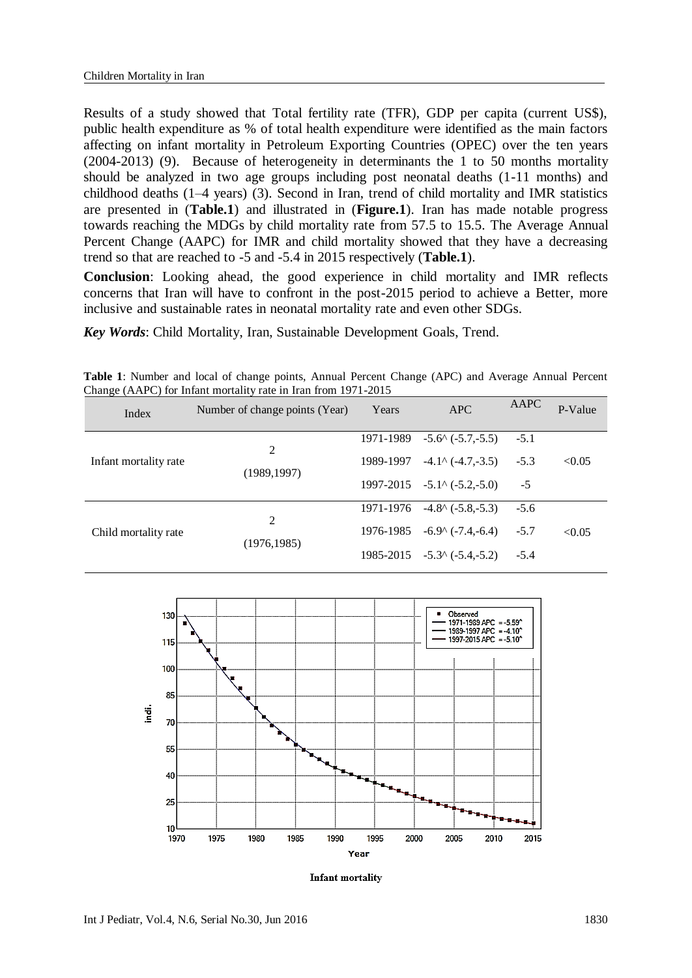Results of a study showed that Total fertility rate (TFR), GDP per capita (current US\$), public health expenditure as % of total health expenditure were identified as the main factors affecting on infant mortality in Petroleum Exporting Countries (OPEC) over the ten years (2004-2013) [\(9\)](#page-2-8). Because of heterogeneity in determinants the 1 to 50 months mortality should be analyzed in two age groups including post neonatal deaths (1-11 months) and childhood deaths (1–4 years) [\(3\)](#page-2-2). Second in Iran, trend of child mortality and IMR statistics are presented in (**Table.1**) and illustrated in (**Figure.1**). Iran has made notable progress towards reaching the MDGs by child mortality rate from 57.5 to 15.5. The Average Annual Percent Change (AAPC) for IMR and child mortality showed that they have a decreasing trend so that are reached to -5 and -5.4 in 2015 respectively (**Table.1**).

**Conclusion**: Looking ahead, the good experience in child mortality and IMR reflects concerns that Iran will have to confront in the post-2015 period to achieve a Better, more inclusive and sustainable rates in neonatal mortality rate and even other SDGs.

*Key Words*: Child Mortality, Iran, Sustainable Development Goals, Trend.

**Table 1**: Number and local of change points, Annual Percent Change (APC) and Average Annual Percent Change (AAPC) for Infant mortality rate in Iran from 1971-2015

| Index                 | Number of change points (Year) | Years | <b>APC</b>                               | AAPC   | P-Value |
|-----------------------|--------------------------------|-------|------------------------------------------|--------|---------|
| Infant mortality rate | 2<br>(1989, 1997)              |       | $1971 - 1989 - 5.6^{\circ}$ (-5.7, -5.5) | $-5.1$ |         |
|                       |                                |       | $1989-1997 -4.1^{\circ}$ $(-4.7,-3.5)$   | $-5.3$ | < 0.05  |
|                       |                                |       | $1997 - 2015 - 5.1^( -5.2, -5.0)$        | $-5$   |         |
| Child mortality rate  | 2<br>(1976, 1985)              |       | $1971-1976$ $-4.8^{\circ}$ $(-5.8,-5.3)$ | $-5.6$ |         |
|                       |                                |       | $1976-1985 -6.9^{\circ}$ (-7.4,-6.4)     | $-5.7$ | <0.05   |
|                       |                                |       | $1985 - 2015 - 5.3 \times (-5.4, -5.2)$  | $-5.4$ |         |



Infant mortality